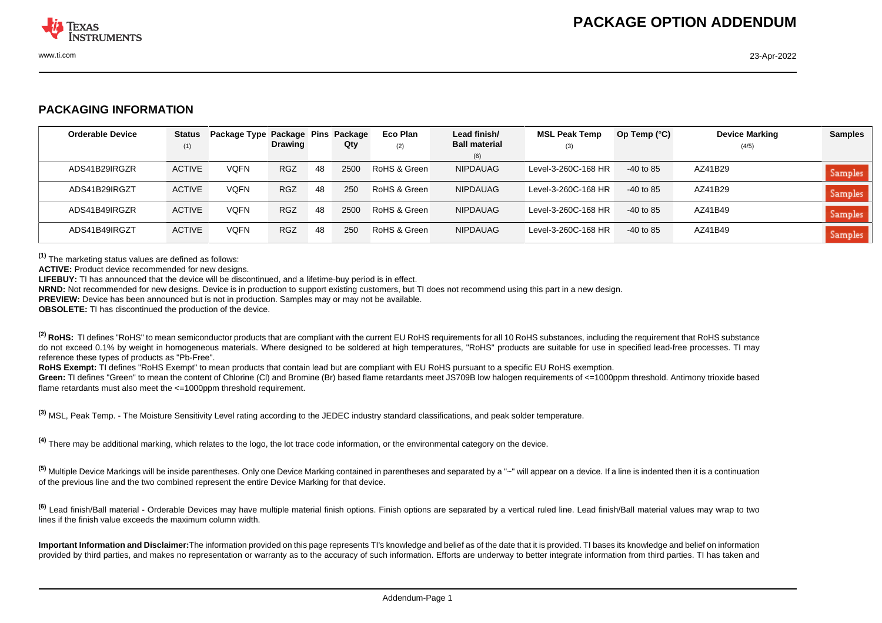

## **PACKAGING INFORMATION**

| <b>Orderable Device</b> | <b>Status</b> | Package Type Package Pins |                |    | Package | Eco Plan     | Lead finish/                | <b>MSL Peak Temp</b> | Op Temp $(°C)$ | <b>Device Marking</b> | <b>Samples</b> |
|-------------------------|---------------|---------------------------|----------------|----|---------|--------------|-----------------------------|----------------------|----------------|-----------------------|----------------|
|                         | (1)           |                           | <b>Drawing</b> |    | Qty     | (2)          | <b>Ball material</b><br>(6) | (3)                  |                | (4/5)                 |                |
| ADS41B29IRGZR           | <b>ACTIVE</b> | <b>VOFN</b>               | <b>RGZ</b>     | 48 | 2500    | RoHS & Green | NIPDAUAG                    | Level-3-260C-168 HR  | $-40$ to 85    | AZ41B29               | Samples        |
| ADS41B29IRGZT           | <b>ACTIVE</b> | <b>VQFN</b>               | <b>RGZ</b>     | 48 | 250     | RoHS & Green | NIPDAUAG                    | Level-3-260C-168 HR  | $-40$ to 85    | AZ41B29               | Samples        |
| ADS41B49IRGZR           | <b>ACTIVE</b> | <b>VQFN</b>               | <b>RGZ</b>     | 48 | 2500    | RoHS & Green | NIPDAUAG                    | Level-3-260C-168 HR  | $-40$ to 85    | AZ41B49               | Samples        |
| ADS41B49IRGZT           | <b>ACTIVE</b> | <b>VQFN</b>               | <b>RGZ</b>     | 48 | 250     | RoHS & Green | NIPDAUAG                    | Level-3-260C-168 HR  | $-40$ to 85    | AZ41B49               | Samples        |

**(1)** The marketing status values are defined as follows:

**ACTIVE:** Product device recommended for new designs.

**LIFEBUY:** TI has announced that the device will be discontinued, and a lifetime-buy period is in effect.

**NRND:** Not recommended for new designs. Device is in production to support existing customers, but TI does not recommend using this part in a new design.

**PREVIEW:** Device has been announced but is not in production. Samples may or may not be available.

**OBSOLETE:** TI has discontinued the production of the device.

<sup>(2)</sup> RoHS: TI defines "RoHS" to mean semiconductor products that are compliant with the current EU RoHS requirements for all 10 RoHS substances, including the requirement that RoHS substance do not exceed 0.1% by weight in homogeneous materials. Where designed to be soldered at high temperatures. "RoHS" products are suitable for use in specified lead-free processes. TI may reference these types of products as "Pb-Free".

RoHS Exempt: TI defines "RoHS Exempt" to mean products that contain lead but are compliant with EU RoHS pursuant to a specific EU RoHS exemption.

Green: TI defines "Green" to mean the content of Chlorine (CI) and Bromine (Br) based flame retardants meet JS709B low halogen requirements of <=1000ppm threshold. Antimony trioxide based flame retardants must also meet the  $\leq 1000$ ppm threshold requirement.

**(3)** MSL, Peak Temp. - The Moisture Sensitivity Level rating according to the JEDEC industry standard classifications, and peak solder temperature.

**(4)** There may be additional marking, which relates to the logo, the lot trace code information, or the environmental category on the device.

**(5)** Multiple Device Markings will be inside parentheses. Only one Device Marking contained in parentheses and separated by a "~" will appear on a device. If a line is indented then it is a continuation of the previous line and the two combined represent the entire Device Marking for that device.

**(6)** Lead finish/Ball material - Orderable Devices may have multiple material finish options. Finish options are separated by a vertical ruled line. Lead finish/Ball material values may wrap to two lines if the finish value exceeds the maximum column width.

**Important Information and Disclaimer:**The information provided on this page represents TI's knowledge and belief as of the date that it is provided. TI bases its knowledge and belief on information provided by third parties, and makes no representation or warranty as to the accuracy of such information. Efforts are underway to better integrate information from third parties. TI has taken and